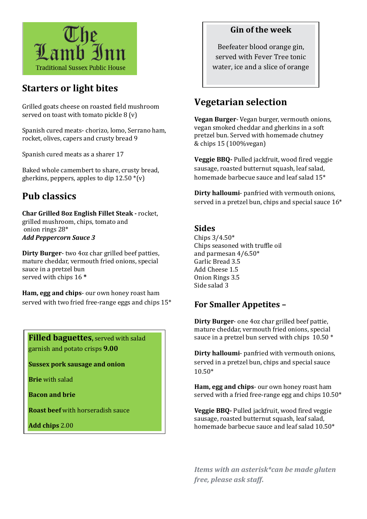

# **Starters or light bites**

Grilled goats cheese on roasted field mushroom served on toast with tomato pickle 8 (v)

Spanish cured meats- chorizo, lomo, Serrano ham, rocket, olives, capers and crusty bread 9

Spanish cured meats as a sharer 17

Baked whole camembert to share, crusty bread, gherkins, peppers, apples to dip  $12.50*(v)$ 

# **Pub classics**

**Char Grilled 8oz English Fillet Steak -** rocket, grilled mushroom, chips, tomato and onion rings 28\* *Add Peppercorn Sauce 3*

**Dirty Burger**- two 4oz char grilled beef patties, mature cheddar, vermouth fried onions, special sauce in a pretzel bun served with chips 16 **\***

**Ham, egg and chips**- our own honey roast ham served with two fried free-range eggs and chips 15\*

**Filled baguettes,** served with salad garnish and potato crisps **9.00**

**Sussex pork sausage and onion**

**Brie** with salad

**Bacon and brie** 

**Roast beef** with horseradish sauce

**Add chips** 2.00

### **Gin of the week**

Beefeater blood orange gin, served with Fever Tree tonic water, ice and a slice of orange

## **Vegetarian selection**

**Vegan Burger**- Vegan burger, vermouth onions, vegan smoked cheddar and gherkins in a soft pretzel bun. Served with homemade chutney & chips 15 (100%vegan)

**Veggie BBQ-** Pulled jackfruit, wood fired veggie sausage, roasted butternut squash, leaf salad, homemade barbecue sauce and leaf salad 15\*

**Dirty halloumi**- panfried with vermouth onions, served in a pretzel bun, chips and special sauce 16\*

### **Sides**

Chips 3/4.50\* Chips seasoned with truffle oil and parmesan 4/6.50\* Garlic Bread 3.5 Add Cheese 1.5 Onion Rings 3.5 Side salad 3

### **For Smaller Appetites –**

**Dirty Burger**- one 4oz char grilled beef pattie, mature cheddar, vermouth fried onions, special sauce in a pretzel bun served with chips 10.50  $*$ 

**Dirty halloumi**- panfried with vermouth onions, served in a pretzel bun, chips and special sauce 10.50\*

**Ham, egg and chips**- our own honey roast ham served with a fried free-range egg and chips 10.50\*

**Veggie BBQ-** Pulled jackfruit, wood fired veggie sausage, roasted butternut squash, leaf salad, homemade barbecue sauce and leaf salad 10.50\*

*Items with an asterisk\*can be made gluten free, please ask staff***.**